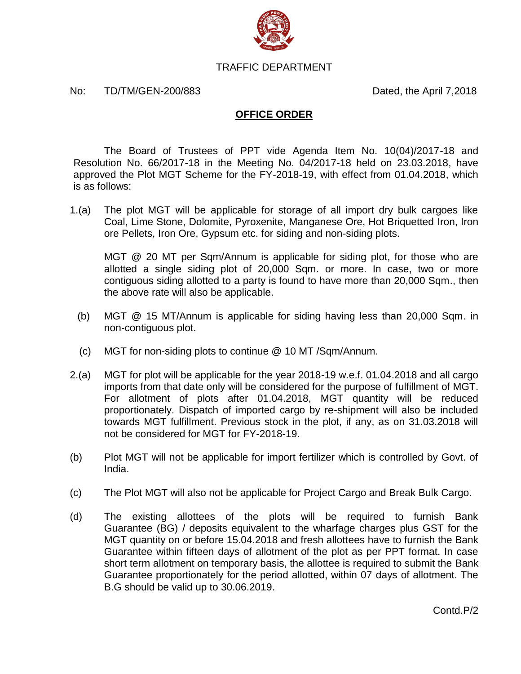

## TRAFFIC DEPARTMENT

## No: TD/TM/GEN-200/883 Dated, the April 7,2018

## **OFFICE ORDER**

The Board of Trustees of PPT vide Agenda Item No. 10(04)/2017-18 and Resolution No. 66/2017-18 in the Meeting No. 04/2017-18 held on 23.03.2018, have approved the Plot MGT Scheme for the FY-2018-19, with effect from 01.04.2018, which is as follows:

1.(a) The plot MGT will be applicable for storage of all import dry bulk cargoes like Coal, Lime Stone, Dolomite, Pyroxenite, Manganese Ore, Hot Briquetted Iron, Iron ore Pellets, Iron Ore, Gypsum etc. for siding and non-siding plots.

MGT @ 20 MT per Sqm/Annum is applicable for siding plot, for those who are allotted a single siding plot of 20,000 Sqm. or more. In case, two or more contiguous siding allotted to a party is found to have more than 20,000 Sqm., then the above rate will also be applicable.

- (b) MGT @ 15 MT/Annum is applicable for siding having less than 20,000 Sqm. in non-contiguous plot.
- (c) MGT for non-siding plots to continue @ 10 MT /Sqm/Annum.
- 2.(a) MGT for plot will be applicable for the year 2018-19 w.e.f. 01.04.2018 and all cargo imports from that date only will be considered for the purpose of fulfillment of MGT. For allotment of plots after 01.04.2018, MGT quantity will be reduced proportionately. Dispatch of imported cargo by re-shipment will also be included towards MGT fulfillment. Previous stock in the plot, if any, as on 31.03.2018 will not be considered for MGT for FY-2018-19.
- (b) Plot MGT will not be applicable for import fertilizer which is controlled by Govt. of India.
- (c) The Plot MGT will also not be applicable for Project Cargo and Break Bulk Cargo.
- (d) The existing allottees of the plots will be required to furnish Bank Guarantee (BG) / deposits equivalent to the wharfage charges plus GST for the MGT quantity on or before 15.04.2018 and fresh allottees have to furnish the Bank Guarantee within fifteen days of allotment of the plot as per PPT format. In case short term allotment on temporary basis, the allottee is required to submit the Bank Guarantee proportionately for the period allotted, within 07 days of allotment. The B.G should be valid up to 30.06.2019.

Contd.P/2